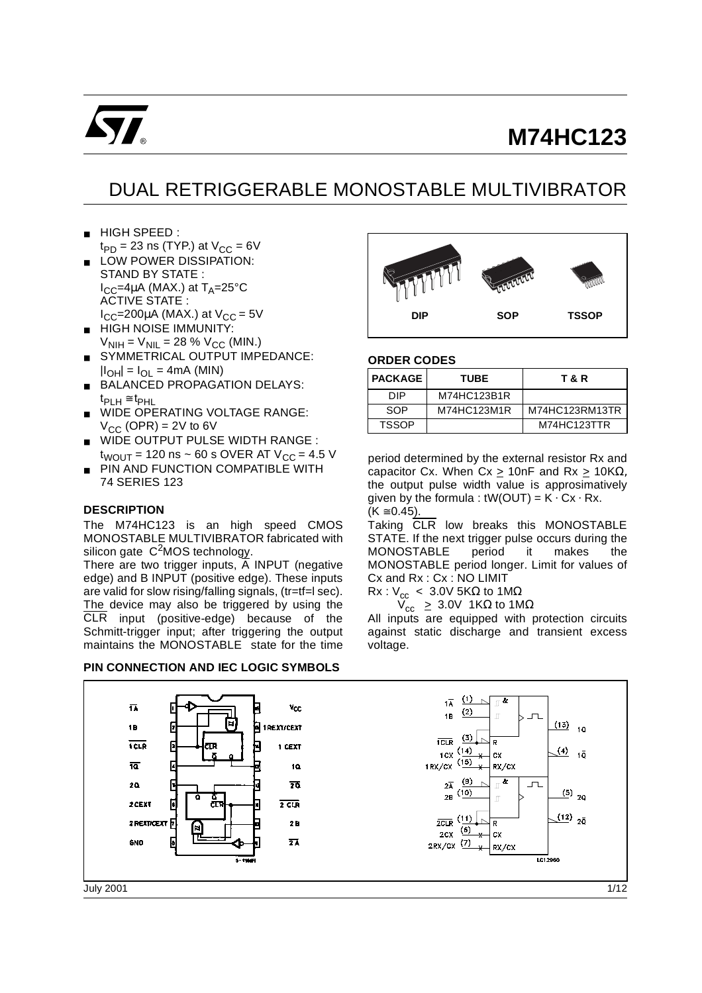

# **M74HC123**

# DUAL RETRIGGERABLE MONOSTABLE MULTIVIBRATOR

- HIGH SPEED :  $t_{PD}$  = 23 ns (TYP.) at  $V_{CC}$  = 6V
- LOW POWER DISSIPATION: STAND BY STATE :  $I_{CC}$ =4µA (MAX.) at T<sub>A</sub>=25°C ACTIVE STATE :  $I_{CC}$ =200µA (MAX.) at  $V_{CC}$  = 5V
- HIGH NOISE IMMUNITY:  $V_{\text{NIH}} = V_{\text{NIL}} = 28 \% V_{\text{CC}}$  (MIN.)
- SYMMETRICAL OUTPUT IMPEDANCE:  $|I_{OH}| = I_{OL} = 4mA$  (MIN)
- BALANCED PROPAGATION DELAYS: tPLH ≅ tPHL
- WIDE OPERATING VOLTAGE RANGE:  $V_{CC}$  (OPR) = 2V to 6V
- WIDE OUTPUT PULSE WIDTH RANGE :  $t_{WOUT}$  = 120 ns ~ 60 s OVER AT V<sub>CC</sub> = 4.5 V
- PIN AND FUNCTION COMPATIBLE WITH 74 SERIES 123

### **DESCRIPTION**

The M74HC123 is an high speed CMOS MONOSTABLE MULTIVIBRATOR fabricated with silicon gate  $C^2$ MOS technology.

There are two trigger inputs,  $\overline{A}$  INPUT (negative edge) and B INPUT (positive edge). These inputs are valid for slow rising/falling signals, (tr=tf=l sec). The device may also be triggered by using the CLR input (positive-edge) because of the Schmitt-trigger input; after triggering the output maintains the MONOSTABLE state for the time

#### **PIN CONNECTION AND IEC LOGIC SYMBOLS**



#### **ORDER CODES**

| <b>PACKAGE</b> | <b>TUBE</b> | T & R          |
|----------------|-------------|----------------|
| חוח            | M74HC123B1R |                |
| SOP            | M74HC123M1R | M74HC123RM13TR |
| <b>TSSOP</b>   |             | M74HC123TTR    |

period determined by the external resistor Rx and capacitor Cx. When Cx  $\geq$  10nF and Rx  $\geq$  10KΩ, the output pulse width value is approsimatively given by the formula :  $tW(OUT) = K \cdot Cx \cdot Rx$ .  $(K \ge 0.45)$ .

Taking CLR low breaks this MONOSTABLE STATE. If the next trigger pulse occurs during the MONOSTABLE period it makes the MONOSTABLE period longer. Limit for values of Cx and Rx : Cx : NO LIMIT

 $Rx : V_{cc}$  < 3.0V 5KΩ to 1MΩ

 $V_{cc} \geq 3.0V$  1KΩ to 1MΩ

All inputs are equipped with protection circuits against static discharge and transient excess voltage.

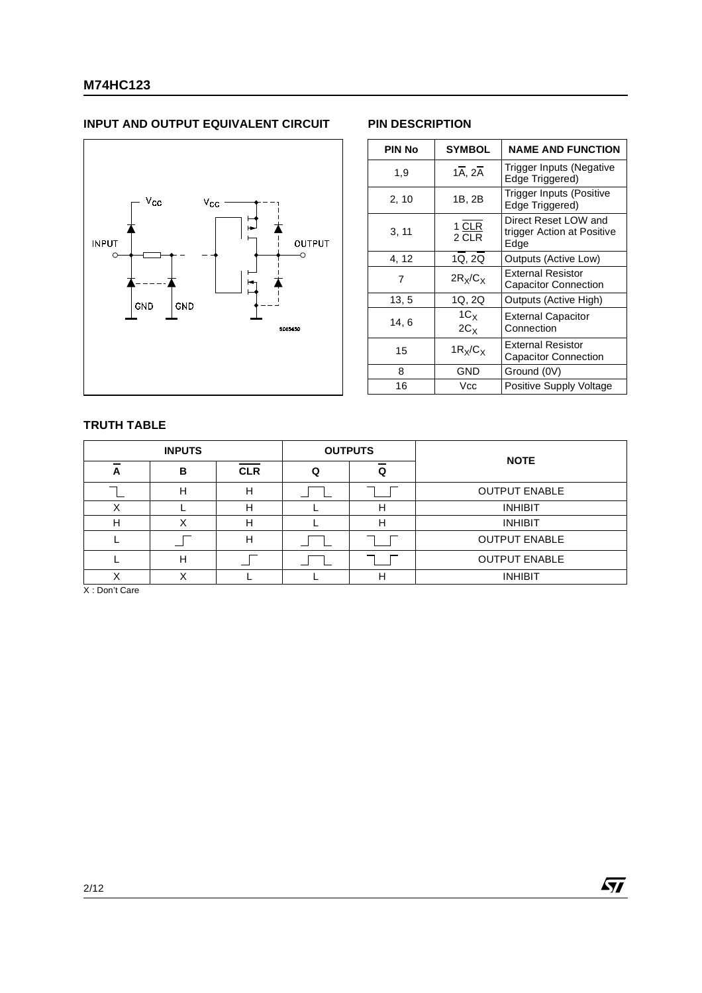# **INPUT AND OUTPUT EQUIVALENT CIRCUIT PIN DESCRIPTION**



| <b>PIN No</b> | <b>SYMBOL</b>                     | <b>NAME AND FUNCTION</b>                                   |
|---------------|-----------------------------------|------------------------------------------------------------|
| 1,9           | $1\overline{A}$ , $2\overline{A}$ | Trigger Inputs (Negative<br>Edge Triggered)                |
| 2, 10         | 1B, 2B                            | Trigger Inputs (Positive<br>Edge Triggered)                |
| 3, 11         | 1 CLR<br>2 CLR                    | Direct Reset LOW and<br>trigger Action at Positive<br>Edge |
| 4, 12         | 1Q, 2Q                            | Outputs (Active Low)                                       |
| 7             | $2R_x/C_x$                        | <b>External Resistor</b><br><b>Capacitor Connection</b>    |
| 13, 5         | 1Q, 2Q                            | Outputs (Active High)                                      |
| 14,6          | $1C_X$<br>$2C_X$                  | <b>External Capacitor</b><br>Connection                    |
| 15            | $1R_X/C_X$                        | External Resistor<br>Capacitor Connection                  |
| 8             | GND                               | Ground (0V)                                                |
| 16            | Vcc                               | Positive Supply Voltage                                    |

## **TRUTH TABLE**

|   | <b>INPUTS</b> |            | <b>OUTPUTS</b> | <b>NOTE</b>          |
|---|---------------|------------|----------------|----------------------|
| A | в             | <b>CLR</b> |                |                      |
|   | н             | н          |                | <b>OUTPUT ENABLE</b> |
|   |               | Н          | н              | <b>INHIBIT</b>       |
| Н |               | н          | н              | <b>INHIBIT</b>       |
|   |               | н          |                | <b>OUTPUT ENABLE</b> |
|   |               |            |                | <b>OUTPUT ENABLE</b> |
|   |               |            | н              | <b>INHIBIT</b>       |

X : Don't Care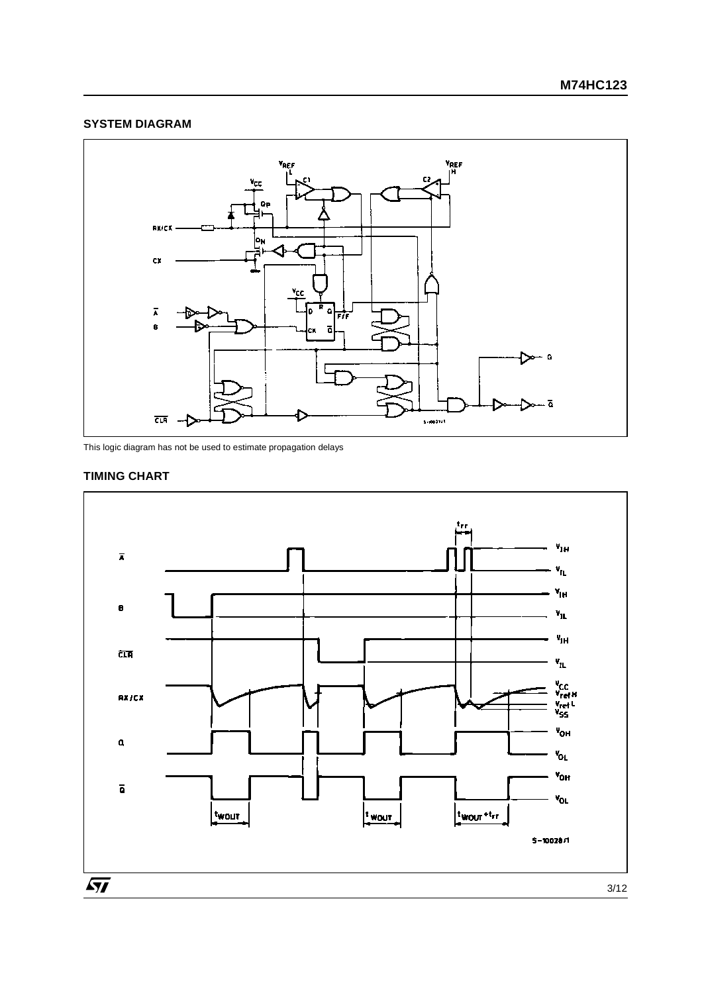# **SYSTEM DIAGRAM**



This logic diagram has not be used to estimate propagation delays

# **TIMING CHART**

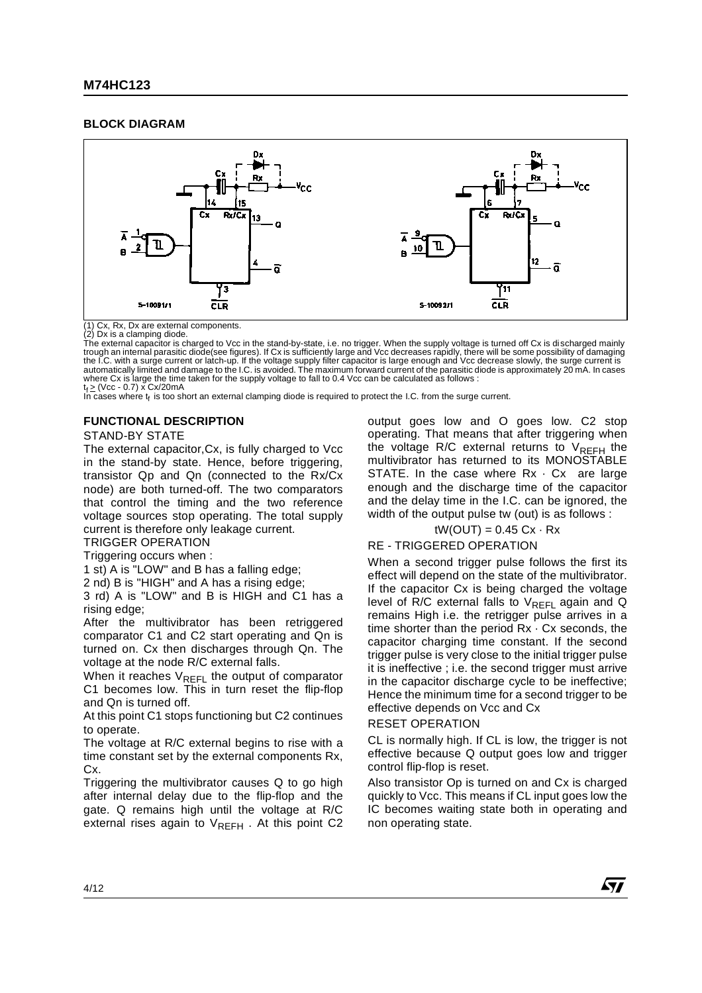#### **BLOCK DIAGRAM**



(1) Cx, Rx, Dx are external components.

(2) Dx is a clamping diode. The external capacitor is charged to Vcc in the stand-by-state, i.e. no trigger. When the supply voltage is turned off Cx is di scharged mainly trough an internal parasitic diode(see figures). If Cx is sufficiently large and Vcc decreases rapidly, there will be some possibility of damaging<br>the I.C. with a surge current or latch-up. If the voltage supply filter cap automatically limited and damage to the I.C. is avoided. The maximum forward current of the parasitic diode is approximately 20 mA. In cases where Cx is large the time taken for the supply voltage to fall to 0.4 Vcc can be calculated as follows :<br>t<sub>f ≥</sub> (Vcc - 0.7) x Cx/20mA<br>In cases where t<sub>f</sub> is too short an external clamping diode is required to protect the

#### **FUNCTIONAL DESCRIPTION**

#### STAND-BY STATE

The external capacitor,Cx, is fully charged to Vcc in the stand-by state. Hence, before triggering, transistor Qp and Qn (connected to the Rx/Cx node) are both turned-off. The two comparators that control the timing and the two reference voltage sources stop operating. The total supply current is therefore only leakage current.

TRIGGER OPERATION

Triggering occurs when :

1 st) A is "LOW" and B has a falling edge;

2 nd) B is "HIGH" and A has a rising edge;

3 rd) A is "LOW" and B is HIGH and C1 has a rising edge;

After the multivibrator has been retriggered comparator C1 and C2 start operating and Qn is turned on. Cx then discharges through Qn. The voltage at the node R/C external falls.

When it reaches  $V_{REFL}$  the output of comparator C1 becomes low. This in turn reset the flip-flop and Qn is turned off.

At this point C1 stops functioning but C2 continues to operate.

The voltage at R/C external begins to rise with a time constant set by the external components Rx, Cx.

Triggering the multivibrator causes Q to go high after internal delay due to the flip-flop and the gate. Q remains high until the voltage at R/C external rises again to  $V_{RFFH}$ . At this point C2 output goes low and O goes low. C2 stop operating. That means that after triggering when the voltage R/C external returns to  $V_{RFFH}$  the multivibrator has returned to its MONOSTABLE STATE. In the case where  $Rx \cdot Cx$  are large enough and the discharge time of the capacitor and the delay time in the I.C. can be ignored, the width of the output pulse tw (out) is as follows :

$$
tW(OUT) = 0.45 Cx \cdot Rx
$$

#### RE - TRIGGERED OPERATION

When a second trigger pulse follows the first its effect will depend on the state of the multivibrator. If the capacitor Cx is being charged the voltage level of R/C external falls to  $V_{REFL}$  again and Q remains High i.e. the retrigger pulse arrives in a time shorter than the period  $Rx \cdot Cx$  seconds, the capacitor charging time constant. If the second trigger pulse is very close to the initial trigger pulse it is ineffective ; i.e. the second trigger must arrive in the capacitor discharge cycle to be ineffective; Hence the minimum time for a second trigger to be effective depends on Vcc and Cx

#### RESET OPERATION

CL is normally high. If CL is low, the trigger is not effective because Q output goes low and trigger control flip-flop is reset.

Also transistor Op is turned on and Cx is charged quickly to Vcc. This means if CL input goes low the IC becomes waiting state both in operating and non operating state.

*571*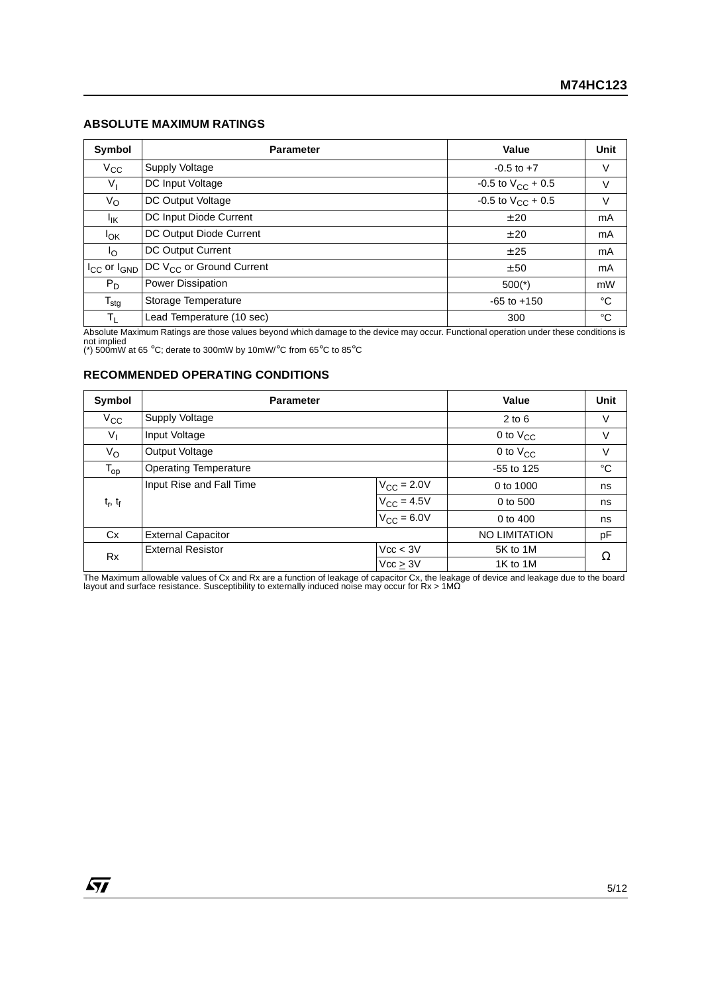## **ABSOLUTE MAXIMUM RATINGS**

| Symbol                | <b>Parameter</b>                     | Value                    | Unit |
|-----------------------|--------------------------------------|--------------------------|------|
| $V_{\rm CC}$          | Supply Voltage                       | $-0.5$ to $+7$           | V    |
| $V_{I}$               | DC Input Voltage                     | -0.5 to $V_{CC}$ + 0.5   | V    |
| $V_{\rm O}$           | DC Output Voltage                    | $-0.5$ to $V_{CC}$ + 0.5 | V    |
| <sup>I</sup> IK       | DC Input Diode Current               | ± 20                     | mA   |
| <b>I<sub>OK</sub></b> | DC Output Diode Current              | ±20                      | mA   |
| l <sub>O</sub>        | DC Output Current                    | ± 25                     | mA   |
| $I_{CC}$ or $I_{GND}$ | DC V <sub>CC</sub> or Ground Current | ± 50                     | mA   |
| $P_D$                 | Power Dissipation                    | $500(*)$                 | mW   |
| $T_{\text{stg}}$      | Storage Temperature                  | $-65$ to $+150$          | °C   |
| $T_{L}$               | Lead Temperature (10 sec)            | 300                      | °C   |

Absolute Maximum Ratings are those values beyond which damage to the device may occur. Functional operation under these conditions is<br>not implied<br>(\*) 500mW at 65 °C; derate to 300mW by 10mW/°C from 65°C to 85°C

#### **RECOMMENDED OPERATING CONDITIONS**

| Symbol          | <b>Parameter</b>             |                        | Value                | <b>Unit</b> |
|-----------------|------------------------------|------------------------|----------------------|-------------|
| $V_{\rm CC}$    | Supply Voltage               |                        | $2$ to 6             | V           |
| $V_{\parallel}$ | Input Voltage                |                        | 0 to $V_{CC}$        | V           |
| $V_{\rm O}$     | Output Voltage               |                        | 0 to $V_{CC}$        | V           |
| $T_{op}$        | <b>Operating Temperature</b> |                        | $-55$ to 125         | °C          |
|                 | Input Rise and Fall Time     | $V_{\rm CC}$ = 2.0V    | 0 to 1000            | ns          |
| $t_r$ , $t_f$   |                              | $V_{\text{CC}} = 4.5V$ | 0 to 500             | ns          |
|                 |                              | $V_{CC} = 6.0V$        | 0 to 400             | ns          |
| Cx              | <b>External Capacitor</b>    |                        | <b>NO LIMITATION</b> | pF          |
| <b>Rx</b>       | <b>External Resistor</b>     | Vcc < 3V               | 5K to 1M             | Ω           |
|                 |                              | Vcc > 3V               | 1K to 1M             |             |

The Maximum allowable values of Cx and Rx are a function of leakage of capacitor Cx, the leakage of device and leakage due to the board<br>Iayout and surface resistance. Susceptibility to externally induced noise may occur f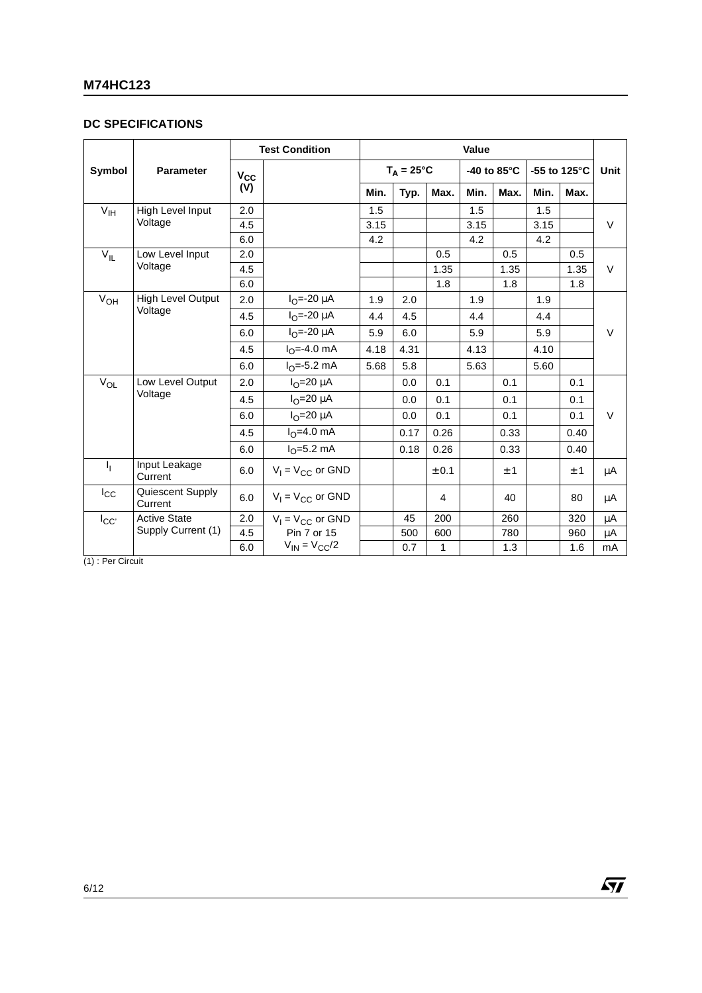# **DC SPECIFICATIONS**

|                 |                             | <b>Test Condition</b><br>Value |                          |      |                     |       |      |             |      |              |         |
|-----------------|-----------------------------|--------------------------------|--------------------------|------|---------------------|-------|------|-------------|------|--------------|---------|
| Symbol          | <b>Parameter</b>            | $V_{\rm CC}$                   |                          |      | $T_A = 25^{\circ}C$ |       |      | -40 to 85°C |      | -55 to 125°C | Unit    |
|                 |                             | (V)                            |                          | Min. | Typ.                | Max.  | Min. | Max.        | Min. | Max.         |         |
| V <sub>IH</sub> | High Level Input            | 2.0                            |                          | 1.5  |                     |       | 1.5  |             | 1.5  |              |         |
|                 | Voltage                     | 4.5                            |                          | 3.15 |                     |       | 3.15 |             | 3.15 |              | $\vee$  |
|                 |                             | 6.0                            |                          | 4.2  |                     |       | 4.2  |             | 4.2  |              |         |
| $V_{IL}$        | Low Level Input             | 2.0                            |                          |      |                     | 0.5   |      | 0.5         |      | 0.5          |         |
|                 | Voltage                     | 4.5                            |                          |      |                     | 1.35  |      | 1.35        |      | 1.35         | $\vee$  |
|                 |                             | 6.0                            |                          |      |                     | 1.8   |      | 1.8         |      | 1.8          |         |
| $V_{OH}$        | High Level Output           | 2.0                            | $I_{\Omega} = -20 \mu A$ | 1.9  | 2.0                 |       | 1.9  |             | 1.9  |              |         |
|                 | Voltage                     | 4.5                            | $I_{\Omega} = -20 \mu A$ | 4.4  | 4.5                 |       | 4.4  |             | 4.4  |              |         |
|                 |                             | 6.0                            | $IO=-20 \mu A$           | 5.9  | 6.0                 |       | 5.9  |             | 5.9  |              | $\vee$  |
|                 |                             | 4.5                            | $I_{\Omega} = -4.0$ mA   | 4.18 | 4.31                |       | 4.13 |             | 4.10 |              |         |
|                 |                             | 6.0                            | $IO=-5.2$ mA             | 5.68 | 5.8                 |       | 5.63 |             | 5.60 |              |         |
| $V_{OL}$        | Low Level Output            | 2.0                            | $I_{\Omega}$ =20 µA      |      | 0.0                 | 0.1   |      | 0.1         |      | 0.1          |         |
|                 | Voltage                     | 4.5                            | $IO=20 \mu A$            |      | 0.0                 | 0.1   |      | 0.1         |      | 0.1          |         |
|                 |                             | 6.0                            | $IO=20 \mu A$            |      | 0.0                 | 0.1   |      | 0.1         |      | 0.1          | $\vee$  |
|                 |                             | 4.5                            | $I_{\Omega} = 4.0$ mA    |      | 0.17                | 0.26  |      | 0.33        |      | 0.40         |         |
|                 |                             | 6.0                            | $I_{\Omega} = 5.2$ mA    |      | 0.18                | 0.26  |      | 0.33        |      | 0.40         |         |
| Ч.              | Input Leakage<br>Current    | 6.0                            | $V_1 = V_{CC}$ or GND    |      |                     | ± 0.1 |      | ± 1         |      | ±1           | μA      |
| $I_{\rm CC}$    | Quiescent Supply<br>Current | 6.0                            | $V_1 = V_{CC}$ or GND    |      |                     | 4     |      | 40          |      | 80           | μA      |
| ICC             | <b>Active State</b>         | 2.0                            | $V_1 = V_{CC}$ or GND    |      | 45                  | 200   |      | 260         |      | 320          | $\mu A$ |
|                 | Supply Current (1)          | 4.5                            | Pin 7 or 15              |      | 500                 | 600   |      | 780         |      | 960          | μA      |
|                 |                             | 6.0                            | $V_{IN} = V_{CC}/2$      |      | 0.7                 | 1     |      | 1.3         |      | 1.6          | mA      |

(1) : Per Circuit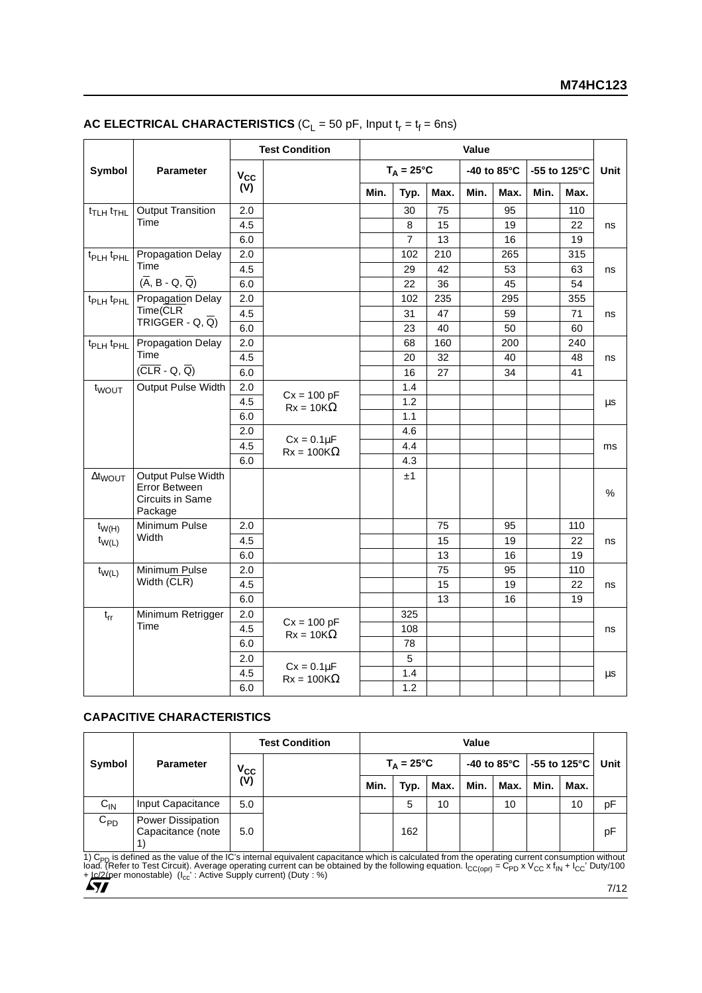|                                   |                                                                    |            | <b>Test Condition</b>                |      |                     |      | Value |             |      |              |      |
|-----------------------------------|--------------------------------------------------------------------|------------|--------------------------------------|------|---------------------|------|-------|-------------|------|--------------|------|
| Symbol                            | <b>Parameter</b>                                                   | $V_{CC}$   |                                      |      | $T_A = 25^{\circ}C$ |      |       | -40 to 85°C |      | -55 to 125°C | Unit |
|                                   |                                                                    | (V)        |                                      | Min. | Typ.                | Max. | Min.  | Max.        | Min. | Max.         |      |
| t <sub>TLH</sub> t <sub>THL</sub> | Output Transition                                                  | 2.0        |                                      |      | 30                  | 75   |       | 95          |      | 110          |      |
|                                   | Time                                                               | 4.5        |                                      |      | 8                   | 15   |       | 19          |      | 22           | ns   |
|                                   |                                                                    | 6.0        |                                      |      | $\overline{7}$      | 13   |       | 16          |      | 19           |      |
| t <sub>PLH</sub> t <sub>PHL</sub> | <b>Propagation Delay</b>                                           | 2.0        |                                      |      | 102                 | 210  |       | 265         |      | 315          |      |
|                                   | Time                                                               | 4.5        |                                      |      | 29                  | 42   |       | 53          |      | 63           | ns   |
|                                   | $(\overline{A}, B - Q, \overline{Q})$                              | 6.0        |                                      |      | 22                  | 36   |       | 45          |      | 54           |      |
| t <sub>PLH</sub> t <sub>PHL</sub> | Propagation Delay                                                  | 2.0        |                                      |      | 102                 | 235  |       | 295         |      | 355          |      |
|                                   | Time(CLR<br>TRIGGER - Q, $\overline{Q}$ )                          | 4.5<br>6.0 |                                      |      | 31                  | 47   |       | 59          |      | 71           | ns   |
|                                   |                                                                    |            |                                      |      | 23                  | 40   |       | 50          |      | 60           |      |
| t <sub>PLH</sub> t <sub>PHL</sub> | <b>Propagation Delay</b>                                           | 2.0        |                                      |      | 68                  | 160  |       | 200         |      | 240          |      |
|                                   | Time                                                               | 4.5        |                                      |      | 20                  | 32   |       | 40          |      | 48           | ns   |
|                                   | $(CLR - Q, Q)$                                                     | 6.0        |                                      |      | 16                  | 27   |       | 34          |      | 41           |      |
| t <sub>WOUT</sub>                 | Output Pulse Width                                                 | 2.0        | $Cx = 100 pF$                        |      | 1.4                 |      |       |             |      |              |      |
|                                   |                                                                    | 4.5        | $Rx = 10K\Omega$                     |      | 1.2                 |      |       |             |      |              | μs   |
|                                   |                                                                    | 6.0        |                                      |      | 1.1                 |      |       |             |      |              |      |
|                                   |                                                                    | 2.0        | $Cx = 0.1\mu F$                      |      | 4.6                 |      |       |             |      |              |      |
|                                   |                                                                    | 4.5        | $Rx = 100K\Omega$                    |      | 4.4                 |      |       |             |      |              | ms   |
|                                   |                                                                    | 6.0        |                                      |      | 4.3                 |      |       |             |      |              |      |
| $\Delta t_{WOUT}$                 | Output Pulse Width<br>Error Between<br>Circuits in Same<br>Package |            |                                      |      | ±1                  |      |       |             |      |              | %    |
| $t_{W(H)}$                        | Minimum Pulse                                                      | 2.0        |                                      |      |                     | 75   |       | 95          |      | 110          |      |
| $t_{W(L)}$                        | Width                                                              | 4.5        |                                      |      |                     | 15   |       | 19          |      | 22           | ns   |
|                                   |                                                                    | 6.0        |                                      |      |                     | 13   |       | 16          |      | 19           |      |
| $t_{W(L)}$                        | Minimum Pulse                                                      | 2.0        |                                      |      |                     | 75   |       | 95          |      | 110          |      |
|                                   | Width $(\overline{CLR})$                                           | 4.5        |                                      |      |                     | 15   |       | 19          |      | 22           | ns   |
|                                   |                                                                    | 6.0        |                                      |      |                     | 13   |       | 16          |      | 19           |      |
| $t_{rr}$                          | Minimum Retrigger                                                  | 2.0        |                                      |      | 325                 |      |       |             |      |              |      |
|                                   | Time                                                               | 4.5        | $Cx = 100 pF$<br>$Rx = 10K\Omega$    |      | 108                 |      |       |             |      |              | ns   |
|                                   |                                                                    | 6.0        |                                      |      | 78                  |      |       |             |      |              |      |
|                                   |                                                                    | 2.0        |                                      |      | 5                   |      |       |             |      |              |      |
|                                   |                                                                    | 4.5        | $Cx = 0.1\mu F$<br>$Rx = 100K\Omega$ |      | 1.4                 |      |       |             |      |              | μs   |
|                                   |                                                                    | 6.0        |                                      |      | 1.2                 |      |       |             |      |              |      |

## **AC ELECTRICAL CHARACTERISTICS** ( $C_L$  = 50 pF, Input  $t_r = t_f = 6$ ns)

#### **CAPACITIVE CHARACTERISTICS**

|          |                                        |                   | <b>Test Condition</b> |      |                     | Value |      |      |      |                                                  |      |
|----------|----------------------------------------|-------------------|-----------------------|------|---------------------|-------|------|------|------|--------------------------------------------------|------|
| Symbol   | <b>Parameter</b>                       |                   |                       |      | $T_A = 25^{\circ}C$ |       |      |      |      | -40 to 85 $^{\circ}$ C   -55 to 125 $^{\circ}$ C | Unit |
|          |                                        | $V_{CC}$<br>$(V)$ |                       | Min. | Typ.                | Max.  | Min. | Max. | Min. | Max.                                             |      |
| $C_{IN}$ | Input Capacitance                      | 5.0               |                       |      | 5                   | 10    |      | 10   |      | 10                                               | рF   |
| $C_{PD}$ | Power Dissipation<br>Capacitance (note | 5.0               |                       |      | 162                 |       |      |      |      |                                                  | рF   |

1) C<sub>PD</sub> is defined as the value of the IC's internal equivalent capacitance which is calculated from the operating current consumption without<br>load. (Refer to Test Circuit). Average operating current can be obtained by th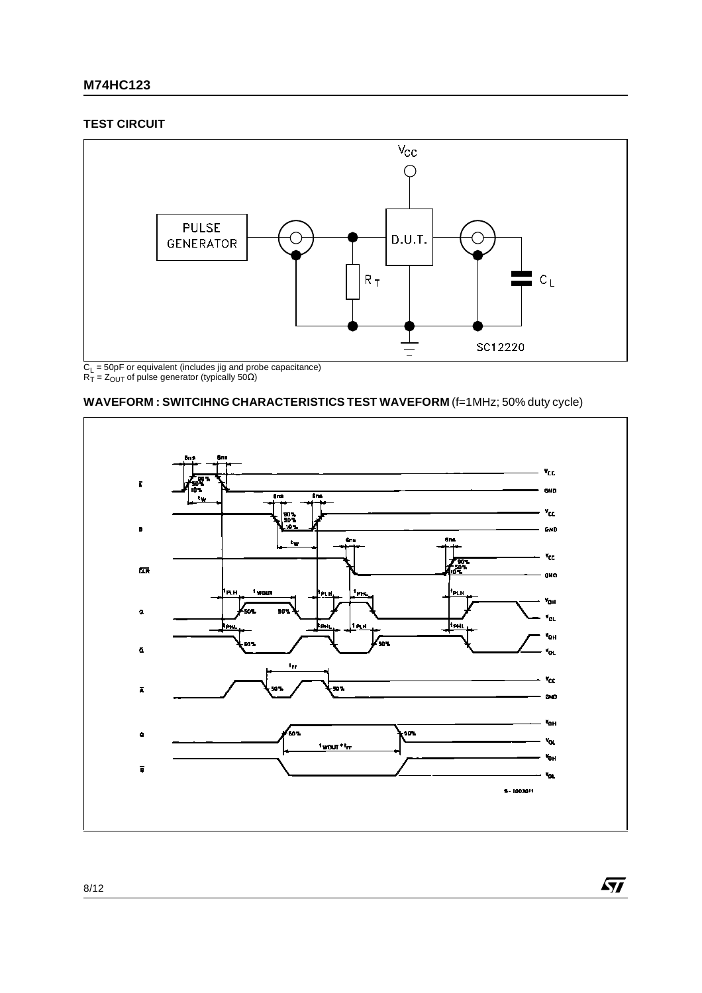# **M74HC123**

#### **TEST CIRCUIT**



#### **WAVEFORM : SWITCIHNG CHARACTERISTICS TEST WAVEFORM** (f=1MHz; 50% duty cycle)



 $\sqrt{2}$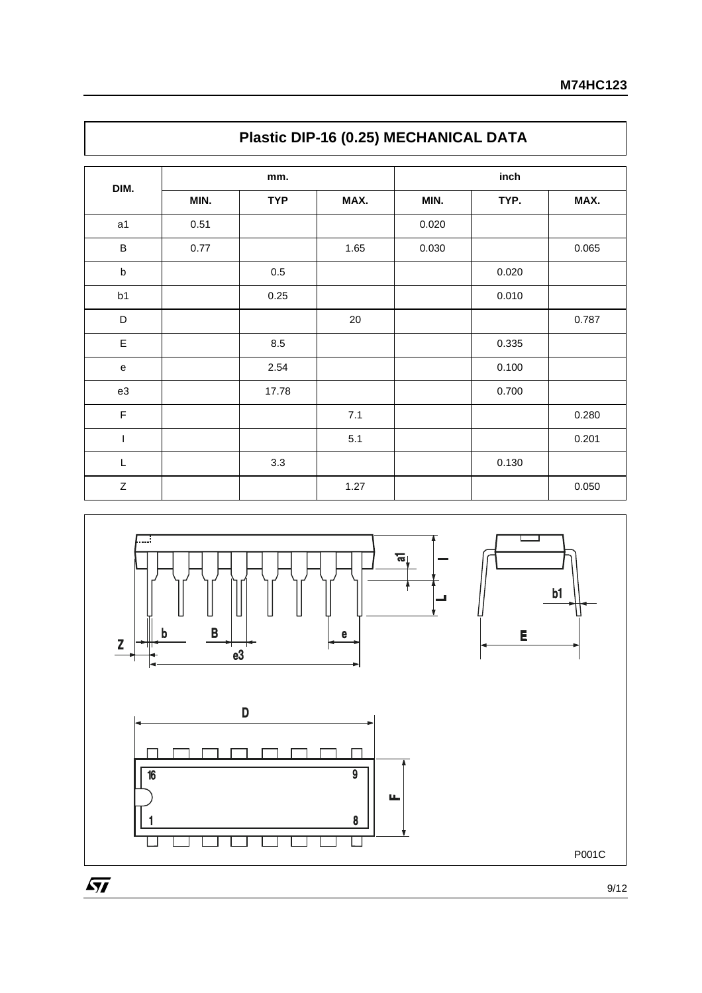|                |      | mm.        |        |       | inch  |       |
|----------------|------|------------|--------|-------|-------|-------|
| DIM.           | MIN. | <b>TYP</b> | MAX.   | MIN.  | TYP.  | MAX.  |
| a1             | 0.51 |            |        | 0.020 |       |       |
| $\sf B$        | 0.77 |            | 1.65   | 0.030 |       | 0.065 |
| $\sf b$        |      | 0.5        |        |       | 0.020 |       |
| b1             |      | 0.25       |        |       | 0.010 |       |
| D              |      |            | $20\,$ |       |       | 0.787 |
| $\mathsf E$    |      | 8.5        |        |       | 0.335 |       |
| ${\bf e}$      |      | 2.54       |        |       | 0.100 |       |
| e3             |      | 17.78      |        |       | 0.700 |       |
| $\mathsf F$    |      |            | 7.1    |       |       | 0.280 |
| $\overline{1}$ |      |            | 5.1    |       |       | 0.201 |
| L              |      | 3.3        |        |       | 0.130 |       |
| $\mathsf Z$    |      |            | 1.27   |       |       | 0.050 |



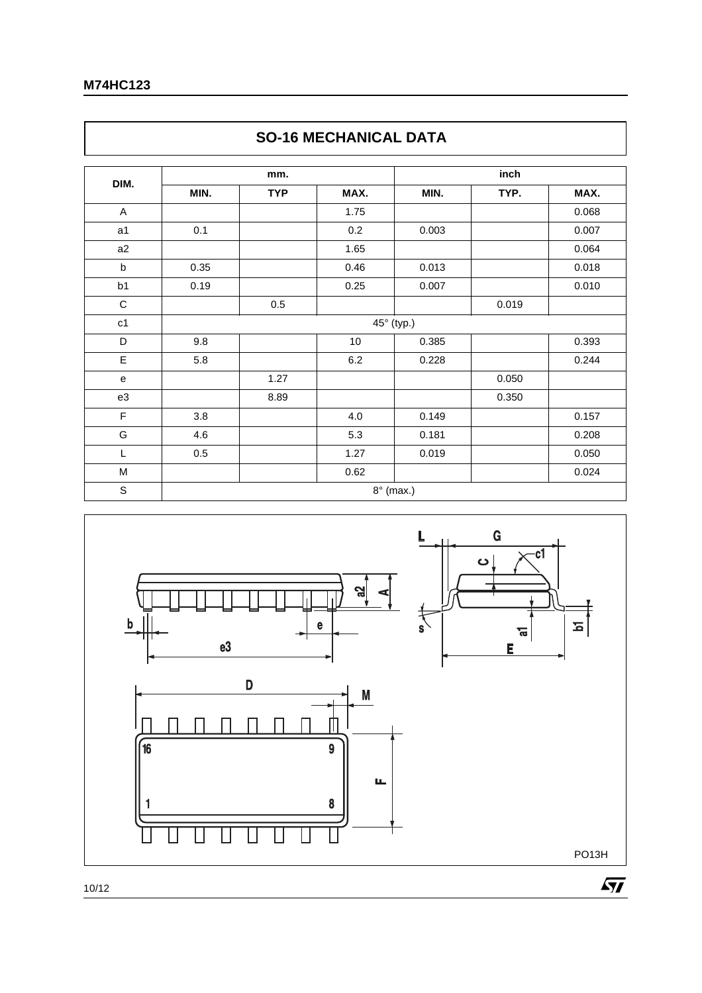$\Gamma$ 

| DIM.        |      | mm.        |      |            | inch  |       |
|-------------|------|------------|------|------------|-------|-------|
|             | MIN. | <b>TYP</b> | MAX. | MIN.       | TYP.  | MAX.  |
| A           |      |            | 1.75 |            |       | 0.068 |
| a1          | 0.1  |            | 0.2  | 0.003      |       | 0.007 |
| a2          |      |            | 1.65 |            |       | 0.064 |
| $\mathsf b$ | 0.35 |            | 0.46 | 0.013      |       | 0.018 |
| b1          | 0.19 |            | 0.25 | 0.007      |       | 0.010 |
| $\mathsf C$ |      | 0.5        |      |            | 0.019 |       |
| c1          |      |            |      | 45° (typ.) |       |       |
| D           | 9.8  |            | 10   | 0.385      |       | 0.393 |
| E           | 5.8  |            | 6.2  | 0.228      |       | 0.244 |
| ${\bf e}$   |      | 1.27       |      |            | 0.050 |       |
| e3          |      | 8.89       |      |            | 0.350 |       |
| F           | 3.8  |            | 4.0  | 0.149      |       | 0.157 |
| G           | 4.6  |            | 5.3  | 0.181      |       | 0.208 |
| L           | 0.5  |            | 1.27 | 0.019      |       | 0.050 |
| M           |      |            | 0.62 |            |       | 0.024 |



# **SO-16 MECHANICAL DATA**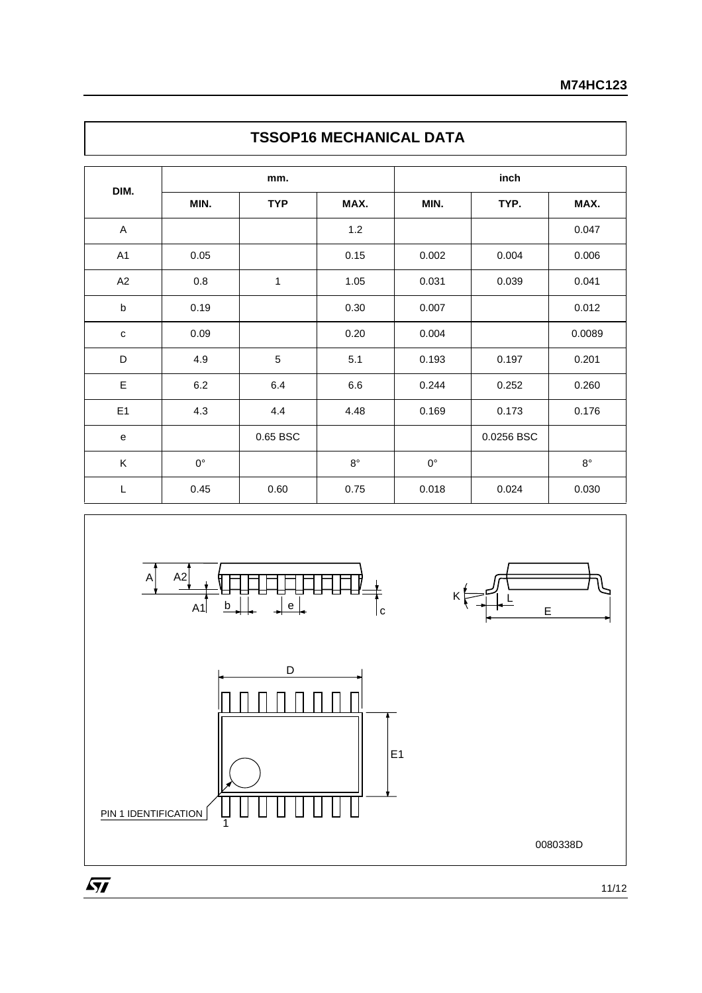|                |             | mm.        |             |             |            |             |
|----------------|-------------|------------|-------------|-------------|------------|-------------|
| DIM.           | MIN.        | <b>TYP</b> | MAX.        | MIN.        | TYP.       | MAX.        |
| A              |             |            | $1.2$       |             |            | 0.047       |
| A <sub>1</sub> | 0.05        |            | 0.15        | 0.002       | 0.004      | 0.006       |
| A2             | 0.8         | 1          | 1.05        | 0.031       | 0.039      | 0.041       |
| b              | 0.19        |            | 0.30        | 0.007       |            | 0.012       |
| $\mathbf c$    | 0.09        |            | 0.20        | 0.004       |            | 0.0089      |
| D              | 4.9         | 5          | 5.1         | 0.193       | 0.197      | 0.201       |
| E              | $6.2\,$     | 6.4        | 6.6         | 0.244       | 0.252      | 0.260       |
| E1             | 4.3         | 4.4        | 4.48        | 0.169       | 0.173      | 0.176       |
| ${\bf e}$      |             | 0.65 BSC   |             |             | 0.0256 BSC |             |
| K              | $0^{\circ}$ |            | $8^{\circ}$ | $0^{\circ}$ |            | $8^{\circ}$ |
| L              | 0.45        | 0.60       | 0.75        | 0.018       | 0.024      | 0.030       |







0080338D

 $\sqrt{M}$